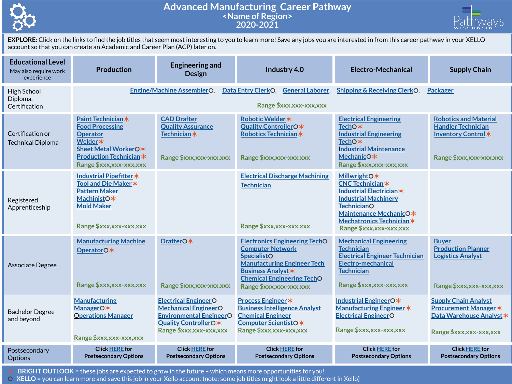

## **Advanced Manufacturing Career Pathway <Name of Region> 2020-2021**



**EXPLORE**: Click on the links to find the job titles that seem most interesting to you to learn more! Save any jobs you are interested in from this career pathway in your XELLO account so that you can create an Academic and Career Plan (ACP) later on.

| <b>Educational Level</b><br>May also require work<br>experience | <b>Production</b>                                                                                                                                                       | <b>Engineering and</b><br><b>Design</b>                                                                                                         | Industry 4.0                                                                                                                                                                                                             | <b>Electro-Mechanical</b>                                                                                                                                                                                         | <b>Supply Chain</b>                                                                                                |
|-----------------------------------------------------------------|-------------------------------------------------------------------------------------------------------------------------------------------------------------------------|-------------------------------------------------------------------------------------------------------------------------------------------------|--------------------------------------------------------------------------------------------------------------------------------------------------------------------------------------------------------------------------|-------------------------------------------------------------------------------------------------------------------------------------------------------------------------------------------------------------------|--------------------------------------------------------------------------------------------------------------------|
| High School<br>Diploma,<br>Certification                        | <b>Engine/Machine AssemblerO.</b><br>Data Entry ClerkO,<br><b>General Laborer,</b><br><b>Shipping &amp; Receiving ClerkO.</b><br>Packager<br>Range \$xxx,xxx-xxx,xxx    |                                                                                                                                                 |                                                                                                                                                                                                                          |                                                                                                                                                                                                                   |                                                                                                                    |
| Certification or<br><b>Technical Diploma</b>                    | Paint Technician *<br><b>Food Processing</b><br><b>Operator</b><br><b>Welder</b> *<br>Sheet Metal WorkerO*<br><b>Production Technician *</b><br>Range \$xxx,xxx-xxx,xxx | <b>CAD Drafter</b><br><b>Quality Assurance</b><br>Technician*<br>Range \$xxx,xxx-xxx,xxx                                                        | Robotic Welder *<br>Quality ControllerO*<br>Robotics Technician*<br>Range \$xxx,xxx-xxx,xxx                                                                                                                              | <b>Electrical Engineering</b><br>TechO <sup>*</sup><br><b>Industrial Engineering</b><br>TechO <sup>*</sup><br><b>Industrial Maintenance</b><br>MechanicO*<br>Range \$xxx,xxx-xxx,xxx                              | <b>Robotics and Material</b><br><b>Handler Technician</b><br>Inventory Control*<br>Range \$xxx,xxx-xxx,xxx         |
| Registered<br>Apprenticeship                                    | Industrial Pipefitter *<br>Tool and Die Maker *<br><b>Pattern Maker</b><br>MachinistO*<br><b>Mold Maker</b><br>Range \$xxx,xxx-xxx,xxx                                  |                                                                                                                                                 | <b>Electrical Discharge Machining</b><br><b>Technician</b><br>Range \$xxx,xxx-xxx,xxx                                                                                                                                    | <b>MillwrightO*</b><br><b>CNC Technician *</b><br>Industrial Electrician *<br><b>Industrial Machinery</b><br><b>TechnicianO</b><br>Maintenance MechanicO*<br>Mechatronics Technician *<br>Range \$xxx,xxx-xxx,xxx |                                                                                                                    |
| Associate Degree                                                | <b>Manufacturing Machine</b><br>OperatorO*<br>Range \$xxx,xxx-xxx,xxx                                                                                                   | DrafterO*<br>Range \$xxx,xxx-xxx,xxx                                                                                                            | <b>Electronics Engineering TechO</b><br><b>Computer Network</b><br><b>SpecialistO</b><br><b>Manufacturing Engineer Tech</b><br><b>Business Analyst *</b><br><b>Chemical Engineering TechO</b><br>Range \$xxx,xxx-xxx,xxx | <b>Mechanical Engineering</b><br><b>Technician</b><br><b>Electrical Engineer Technician</b><br>Electro-mechanical<br><b>Technician</b><br>Range \$xxx,xxx-xxx,xxx                                                 | <b>Buver</b><br><b>Production Planner</b><br><b>Logistics Analyst</b><br>Range \$xxx, xxx-xxx, xxx                 |
| <b>Bachelor Degree</b><br>and beyond                            | <b>Manufacturing</b><br>ManagerO*<br><b>Operations Manager</b><br>Range \$xxx,xxx-xxx,xxx                                                                               | <b>Electrical EngineerO</b><br><b>Mechanical EngineerO</b><br><b>Environmental EngineerO</b><br>Quality ControllerO*<br>Range \$xxx,xxx-xxx,xxx | <b>Process Engineer *</b><br><b>Business Intelligence Analyst</b><br><b>Chemical Engineer</b><br>Computer ScientistO*<br>Range \$xxx,xxx-xxx,xxx                                                                         | Industrial EngineerO*<br><b>Manufacturing Engineer *</b><br><b>Electrical EngineerO</b><br>Range \$xxx,xxx-xxx,xxx                                                                                                | <b>Supply Chain Analyst</b><br><b>Procurement Manager *</b><br>Data Warehouse Analyst *<br>Range \$xxx,xxx-xxx,xxx |
| Postsecondary<br><b>Options</b>                                 | <b>Click HERE</b> for<br><b>Postsecondary Options</b>                                                                                                                   | <b>Click HERE for</b><br><b>Postsecondary Options</b>                                                                                           | <b>Click HERE for</b><br><b>Postsecondary Options</b>                                                                                                                                                                    | <b>Click HERE for</b><br><b>Postsecondary Options</b>                                                                                                                                                             | <b>Click HERE for</b><br><b>Postsecondary Options</b>                                                              |

✶ **BRIGHT OUTLOOK** = these jobs are expected to grow in the future – which means more opportunities for you!

⚪ **XELLO** = you can learn more and save this job in your Xello account (note: some job titles might look a little different in Xello)